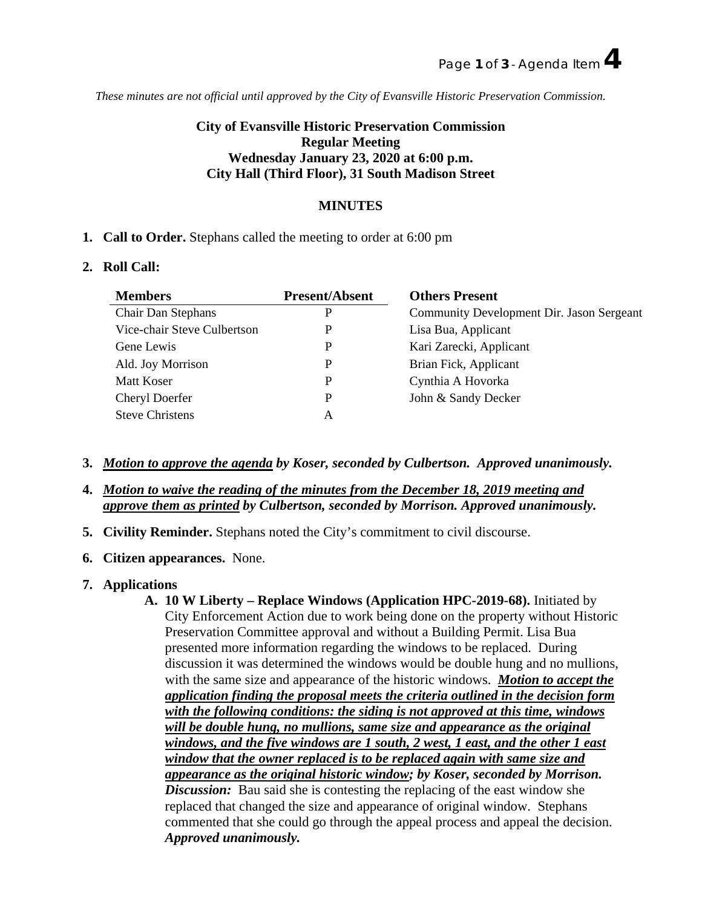*These minutes are not official until approved by the City of Evansville Historic Preservation Commission.*

# **City of Evansville Historic Preservation Commission Regular Meeting Wednesday January 23, 2020 at 6:00 p.m. City Hall (Third Floor), 31 South Madison Street**

# **MINUTES**

## **1. Call to Order.** Stephans called the meeting to order at 6:00 pm

#### **2. Roll Call:**

| <b>Members</b>              | <b>Present/Absent</b> | <b>Others Present</b>                     |
|-----------------------------|-----------------------|-------------------------------------------|
| <b>Chair Dan Stephans</b>   |                       | Community Development Dir. Jason Sergeant |
| Vice-chair Steve Culbertson |                       | Lisa Bua, Applicant                       |
| Gene Lewis                  |                       | Kari Zarecki, Applicant                   |
| Ald. Joy Morrison           |                       | Brian Fick, Applicant                     |
| Matt Koser                  |                       | Cynthia A Hovorka                         |
| Cheryl Doerfer              |                       | John & Sandy Decker                       |
| <b>Steve Christens</b>      |                       |                                           |

- **3.** *Motion to approve the agenda by Koser, seconded by Culbertson. Approved unanimously.*
- **4.** *Motion to waive the reading of the minutes from the December 18, 2019 meeting and approve them as printed by Culbertson, seconded by Morrison. Approved unanimously.*
- **5. Civility Reminder.** Stephans noted the City's commitment to civil discourse.
- **6. Citizen appearances.** None.
- **7. Applications** 
	- **A. 10 W Liberty – Replace Windows (Application HPC-2019-68).** Initiated by City Enforcement Action due to work being done on the property without Historic Preservation Committee approval and without a Building Permit. Lisa Bua presented more information regarding the windows to be replaced. During discussion it was determined the windows would be double hung and no mullions, with the same size and appearance of the historic windows. *Motion to accept the application finding the proposal meets the criteria outlined in the decision form with the following conditions: the siding is not approved at this time, windows will be double hung, no mullions, same size and appearance as the original windows, and the five windows are 1 south, 2 west, 1 east, and the other 1 east window that the owner replaced is to be replaced again with same size and appearance as the original historic window; by Koser, seconded by Morrison. Discussion:* Bau said she is contesting the replacing of the east window she replaced that changed the size and appearance of original window. Stephans commented that she could go through the appeal process and appeal the decision. *Approved unanimously.*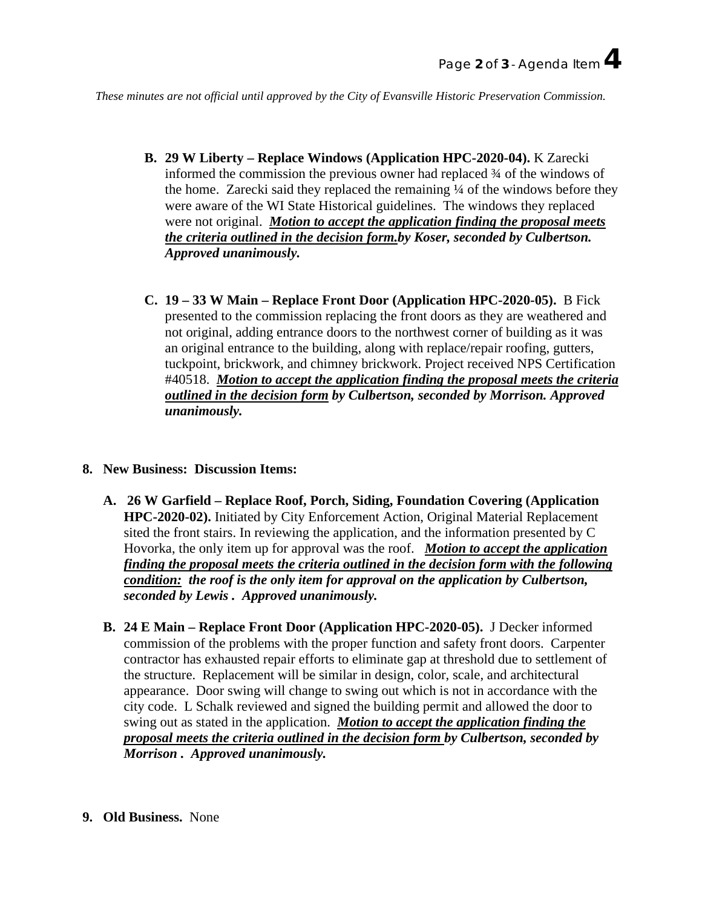*These minutes are not official until approved by the City of Evansville Historic Preservation Commission.*

- **B. 29 W Liberty – Replace Windows (Application HPC-2020-04).** K Zarecki informed the commission the previous owner had replaced ¾ of the windows of the home. Zarecki said they replaced the remaining ¼ of the windows before they were aware of the WI State Historical guidelines. The windows they replaced were not original. *Motion to accept the application finding the proposal meets the criteria outlined in the decision form.by Koser, seconded by Culbertson. Approved unanimously.*
- **C. 19 – 33 W Main – Replace Front Door (Application HPC-2020-05).** B Fick presented to the commission replacing the front doors as they are weathered and not original, adding entrance doors to the northwest corner of building as it was an original entrance to the building, along with replace/repair roofing, gutters, tuckpoint, brickwork, and chimney brickwork. Project received NPS Certification #40518. *Motion to accept the application finding the proposal meets the criteria outlined in the decision form by Culbertson, seconded by Morrison. Approved unanimously.*

#### **8. New Business: Discussion Items:**

- **A. 26 W Garfield – Replace Roof, Porch, Siding, Foundation Covering (Application HPC-2020-02).** Initiated by City Enforcement Action, Original Material Replacement sited the front stairs. In reviewing the application, and the information presented by C Hovorka, the only item up for approval was the roof. *Motion to accept the application finding the proposal meets the criteria outlined in the decision form with the following condition: the roof is the only item for approval on the application by Culbertson, seconded by Lewis . Approved unanimously.*
- **B. 24 E Main – Replace Front Door (Application HPC-2020-05).** J Decker informed commission of the problems with the proper function and safety front doors. Carpenter contractor has exhausted repair efforts to eliminate gap at threshold due to settlement of the structure. Replacement will be similar in design, color, scale, and architectural appearance. Door swing will change to swing out which is not in accordance with the city code. L Schalk reviewed and signed the building permit and allowed the door to swing out as stated in the application. *Motion to accept the application finding the proposal meets the criteria outlined in the decision form by Culbertson, seconded by Morrison . Approved unanimously.*
- **9. Old Business.** None